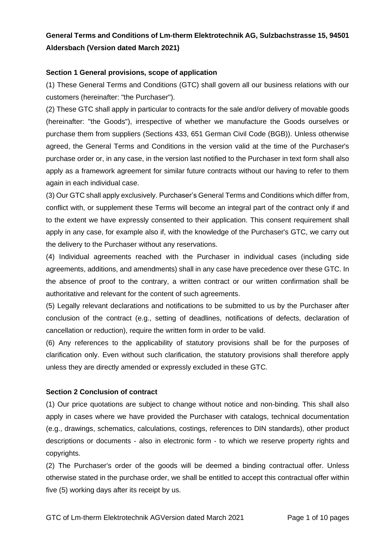# **General Terms and Conditions of Lm-therm Elektrotechnik AG, Sulzbachstrasse 15, 94501 Aldersbach (Version dated March 2021)**

## **Section 1 General provisions, scope of application**

(1) These General Terms and Conditions (GTC) shall govern all our business relations with our customers (hereinafter: "the Purchaser").

(2) These GTC shall apply in particular to contracts for the sale and/or delivery of movable goods (hereinafter: "the Goods"), irrespective of whether we manufacture the Goods ourselves or purchase them from suppliers (Sections 433, 651 German Civil Code (BGB)). Unless otherwise agreed, the General Terms and Conditions in the version valid at the time of the Purchaser's purchase order or, in any case, in the version last notified to the Purchaser in text form shall also apply as a framework agreement for similar future contracts without our having to refer to them again in each individual case.

(3) Our GTC shall apply exclusively. Purchaser's General Terms and Conditions which differ from, conflict with, or supplement these Terms will become an integral part of the contract only if and to the extent we have expressly consented to their application. This consent requirement shall apply in any case, for example also if, with the knowledge of the Purchaser's GTC, we carry out the delivery to the Purchaser without any reservations.

(4) Individual agreements reached with the Purchaser in individual cases (including side agreements, additions, and amendments) shall in any case have precedence over these GTC. In the absence of proof to the contrary, a written contract or our written confirmation shall be authoritative and relevant for the content of such agreements.

(5) Legally relevant declarations and notifications to be submitted to us by the Purchaser after conclusion of the contract (e.g., setting of deadlines, notifications of defects, declaration of cancellation or reduction), require the written form in order to be valid.

(6) Any references to the applicability of statutory provisions shall be for the purposes of clarification only. Even without such clarification, the statutory provisions shall therefore apply unless they are directly amended or expressly excluded in these GTC.

## **Section 2 Conclusion of contract**

(1) Our price quotations are subject to change without notice and non-binding. This shall also apply in cases where we have provided the Purchaser with catalogs, technical documentation (e.g., drawings, schematics, calculations, costings, references to DIN standards), other product descriptions or documents - also in electronic form - to which we reserve property rights and copyrights.

(2) The Purchaser's order of the goods will be deemed a binding contractual offer. Unless otherwise stated in the purchase order, we shall be entitled to accept this contractual offer within five (5) working days after its receipt by us.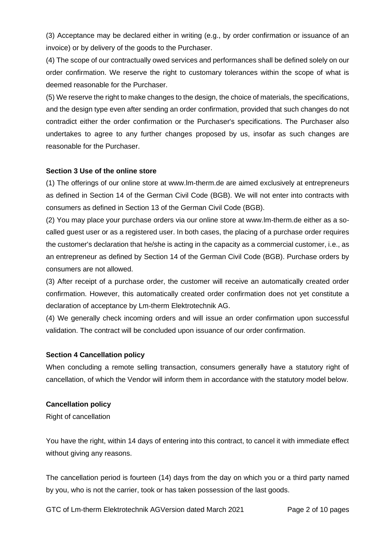(3) Acceptance may be declared either in writing (e.g., by order confirmation or issuance of an invoice) or by delivery of the goods to the Purchaser.

(4) The scope of our contractually owed services and performances shall be defined solely on our order confirmation. We reserve the right to customary tolerances within the scope of what is deemed reasonable for the Purchaser.

(5) We reserve the right to make changes to the design, the choice of materials, the specifications, and the design type even after sending an order confirmation, provided that such changes do not contradict either the order confirmation or the Purchaser's specifications. The Purchaser also undertakes to agree to any further changes proposed by us, insofar as such changes are reasonable for the Purchaser.

## **Section 3 Use of the online store**

(1) The offerings of our online store at www.lm-therm.de are aimed exclusively at entrepreneurs as defined in Section 14 of the German Civil Code (BGB). We will not enter into contracts with consumers as defined in Section 13 of the German Civil Code (BGB).

(2) You may place your purchase orders via our online store at www.lm-therm.de either as a socalled guest user or as a registered user. In both cases, the placing of a purchase order requires the customer's declaration that he/she is acting in the capacity as a commercial customer, i.e., as an entrepreneur as defined by Section 14 of the German Civil Code (BGB). Purchase orders by consumers are not allowed.

(3) After receipt of a purchase order, the customer will receive an automatically created order confirmation. However, this automatically created order confirmation does not yet constitute a declaration of acceptance by Lm-therm Elektrotechnik AG.

(4) We generally check incoming orders and will issue an order confirmation upon successful validation. The contract will be concluded upon issuance of our order confirmation.

#### **Section 4 Cancellation policy**

When concluding a remote selling transaction, consumers generally have a statutory right of cancellation, of which the Vendor will inform them in accordance with the statutory model below.

#### **Cancellation policy**

Right of cancellation

You have the right, within 14 days of entering into this contract, to cancel it with immediate effect without giving any reasons.

The cancellation period is fourteen (14) days from the day on which you or a third party named by you, who is not the carrier, took or has taken possession of the last goods.

GTC of Lm-therm Elektrotechnik AGVersion dated March 2021 Page 2 of 10 pages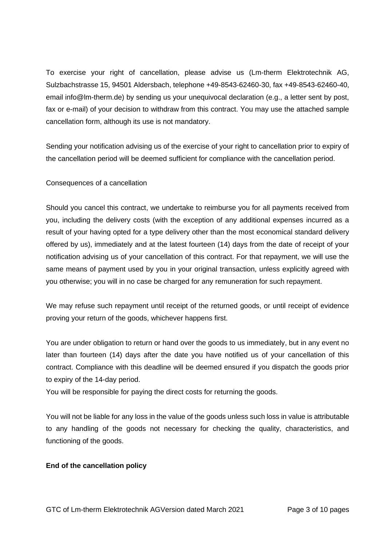To exercise your right of cancellation, please advise us (Lm-therm Elektrotechnik AG, Sulzbachstrasse 15, 94501 Aldersbach, telephone +49-8543-62460-30, fax +49-8543-62460-40, email info@lm-therm.de) by sending us your unequivocal declaration (e.g., a letter sent by post, fax or e-mail) of your decision to withdraw from this contract. You may use the attached sample cancellation form, although its use is not mandatory.

Sending your notification advising us of the exercise of your right to cancellation prior to expiry of the cancellation period will be deemed sufficient for compliance with the cancellation period.

## Consequences of a cancellation

Should you cancel this contract, we undertake to reimburse you for all payments received from you, including the delivery costs (with the exception of any additional expenses incurred as a result of your having opted for a type delivery other than the most economical standard delivery offered by us), immediately and at the latest fourteen (14) days from the date of receipt of your notification advising us of your cancellation of this contract. For that repayment, we will use the same means of payment used by you in your original transaction, unless explicitly agreed with you otherwise; you will in no case be charged for any remuneration for such repayment.

We may refuse such repayment until receipt of the returned goods, or until receipt of evidence proving your return of the goods, whichever happens first.

You are under obligation to return or hand over the goods to us immediately, but in any event no later than fourteen (14) days after the date you have notified us of your cancellation of this contract. Compliance with this deadline will be deemed ensured if you dispatch the goods prior to expiry of the 14-day period.

You will be responsible for paying the direct costs for returning the goods.

You will not be liable for any loss in the value of the goods unless such loss in value is attributable to any handling of the goods not necessary for checking the quality, characteristics, and functioning of the goods.

## **End of the cancellation policy**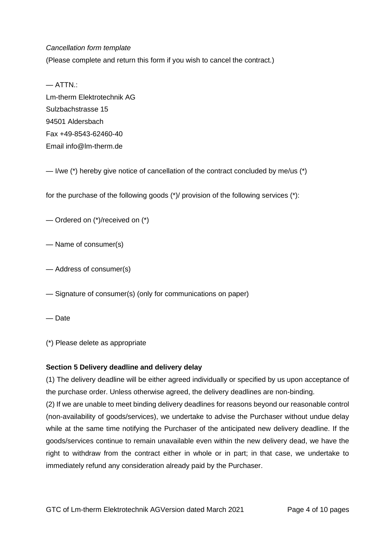#### *Cancellation form template*

(Please complete and return this form if you wish to cancel the contract.)

— ATTN.: Lm-therm Elektrotechnik AG Sulzbachstrasse 15 94501 Aldersbach Fax +49-8543-62460-40 Email info@lm-therm.de

— I/we (\*) hereby give notice of cancellation of the contract concluded by me/us (\*)

for the purchase of the following goods (\*)/ provision of the following services (\*):

— Ordered on (\*)/received on (\*)

— Name of consumer(s)

— Address of consumer(s)

— Signature of consumer(s) (only for communications on paper)

— Date

(\*) Please delete as appropriate

## **Section 5 Delivery deadline and delivery delay**

(1) The delivery deadline will be either agreed individually or specified by us upon acceptance of the purchase order. Unless otherwise agreed, the delivery deadlines are non-binding.

(2) If we are unable to meet binding delivery deadlines for reasons beyond our reasonable control (non-availability of goods/services), we undertake to advise the Purchaser without undue delay while at the same time notifying the Purchaser of the anticipated new delivery deadline. If the goods/services continue to remain unavailable even within the new delivery dead, we have the right to withdraw from the contract either in whole or in part; in that case, we undertake to immediately refund any consideration already paid by the Purchaser.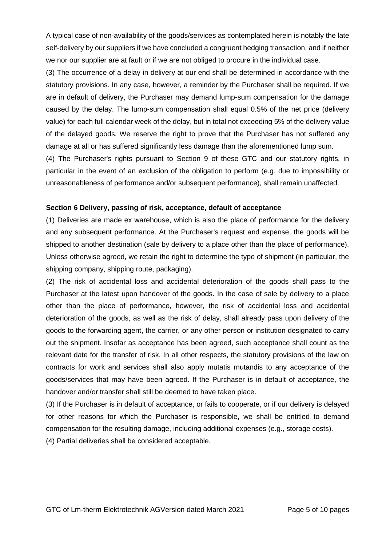A typical case of non-availability of the goods/services as contemplated herein is notably the late self-delivery by our suppliers if we have concluded a congruent hedging transaction, and if neither we nor our supplier are at fault or if we are not obliged to procure in the individual case.

(3) The occurrence of a delay in delivery at our end shall be determined in accordance with the statutory provisions. In any case, however, a reminder by the Purchaser shall be required. If we are in default of delivery, the Purchaser may demand lump-sum compensation for the damage caused by the delay. The lump-sum compensation shall equal 0.5% of the net price (delivery value) for each full calendar week of the delay, but in total not exceeding 5% of the delivery value of the delayed goods. We reserve the right to prove that the Purchaser has not suffered any damage at all or has suffered significantly less damage than the aforementioned lump sum.

(4) The Purchaser's rights pursuant to Section 9 of these GTC and our statutory rights, in particular in the event of an exclusion of the obligation to perform (e.g. due to impossibility or unreasonableness of performance and/or subsequent performance), shall remain unaffected.

## **Section 6 Delivery, passing of risk, acceptance, default of acceptance**

(1) Deliveries are made ex warehouse, which is also the place of performance for the delivery and any subsequent performance. At the Purchaser's request and expense, the goods will be shipped to another destination (sale by delivery to a place other than the place of performance). Unless otherwise agreed, we retain the right to determine the type of shipment (in particular, the shipping company, shipping route, packaging).

(2) The risk of accidental loss and accidental deterioration of the goods shall pass to the Purchaser at the latest upon handover of the goods. In the case of sale by delivery to a place other than the place of performance, however, the risk of accidental loss and accidental deterioration of the goods, as well as the risk of delay, shall already pass upon delivery of the goods to the forwarding agent, the carrier, or any other person or institution designated to carry out the shipment. Insofar as acceptance has been agreed, such acceptance shall count as the relevant date for the transfer of risk. In all other respects, the statutory provisions of the law on contracts for work and services shall also apply mutatis mutandis to any acceptance of the goods/services that may have been agreed. If the Purchaser is in default of acceptance, the handover and/or transfer shall still be deemed to have taken place.

(3) If the Purchaser is in default of acceptance, or fails to cooperate, or if our delivery is delayed for other reasons for which the Purchaser is responsible, we shall be entitled to demand compensation for the resulting damage, including additional expenses (e.g., storage costs).

(4) Partial deliveries shall be considered acceptable.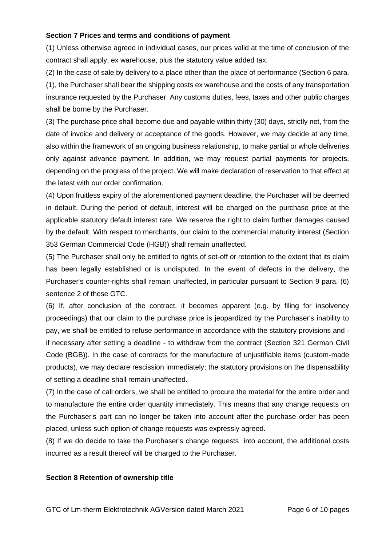#### **Section 7 Prices and terms and conditions of payment**

(1) Unless otherwise agreed in individual cases, our prices valid at the time of conclusion of the contract shall apply, ex warehouse, plus the statutory value added tax.

(2) In the case of sale by delivery to a place other than the place of performance (Section 6 para. (1), the Purchaser shall bear the shipping costs ex warehouse and the costs of any transportation insurance requested by the Purchaser. Any customs duties, fees, taxes and other public charges shall be borne by the Purchaser.

(3) The purchase price shall become due and payable within thirty (30) days, strictly net, from the date of invoice and delivery or acceptance of the goods. However, we may decide at any time, also within the framework of an ongoing business relationship, to make partial or whole deliveries only against advance payment. In addition, we may request partial payments for projects, depending on the progress of the project. We will make declaration of reservation to that effect at the latest with our order confirmation.

(4) Upon fruitless expiry of the aforementioned payment deadline, the Purchaser will be deemed in default. During the period of default, interest will be charged on the purchase price at the applicable statutory default interest rate. We reserve the right to claim further damages caused by the default. With respect to merchants, our claim to the commercial maturity interest (Section 353 German Commercial Code (HGB)) shall remain unaffected.

(5) The Purchaser shall only be entitled to rights of set-off or retention to the extent that its claim has been legally established or is undisputed. In the event of defects in the delivery, the Purchaser's counter-rights shall remain unaffected, in particular pursuant to Section 9 para. (6) sentence 2 of these GTC.

(6) If, after conclusion of the contract, it becomes apparent (e.g. by filing for insolvency proceedings) that our claim to the purchase price is jeopardized by the Purchaser's inability to pay, we shall be entitled to refuse performance in accordance with the statutory provisions and if necessary after setting a deadline - to withdraw from the contract (Section 321 German Civil Code (BGB)). In the case of contracts for the manufacture of unjustifiable items (custom-made products), we may declare rescission immediately; the statutory provisions on the dispensability of setting a deadline shall remain unaffected.

(7) In the case of call orders, we shall be entitled to procure the material for the entire order and to manufacture the entire order quantity immediately. This means that any change requests on the Purchaser's part can no longer be taken into account after the purchase order has been placed, unless such option of change requests was expressly agreed.

(8) If we do decide to take the Purchaser's change requests into account, the additional costs incurred as a result thereof will be charged to the Purchaser.

#### **Section 8 Retention of ownership title**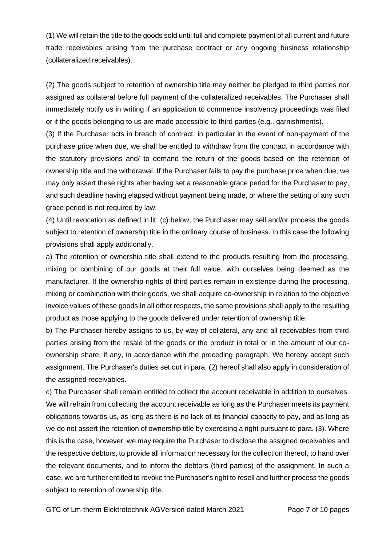(1) We will retain the title to the goods sold until full and complete payment of all current and future trade receivables arising from the purchase contract or any ongoing business relationship (collateralized receivables).

(2) The goods subject to retention of ownership title may neither be pledged to third parties nor assigned as collateral before full payment of the collateralized receivables. The Purchaser shall immediately notify us in writing if an application to commence insolvency proceedings was filed or if the goods belonging to us are made accessible to third parties (e.g., garnishments).

(3) If the Purchaser acts in breach of contract, in particular in the event of non-payment of the purchase price when due, we shall be entitled to withdraw from the contract in accordance with the statutory provisions and/ to demand the return of the goods based on the retention of ownership title and the withdrawal. If the Purchaser fails to pay the purchase price when due, we may only assert these rights after having set a reasonable grace period for the Purchaser to pay, and such deadline having elapsed without payment being made, or where the setting of any such grace period is not required by law.

(4) Until revocation as defined in lit. (c) below, the Purchaser may sell and/or process the goods subject to retention of ownership title in the ordinary course of business. In this case the following provisions shall apply additionally.

a) The retention of ownership title shall extend to the products resulting from the processing, mixing or combining of our goods at their full value, with ourselves being deemed as the manufacturer. If the ownership rights of third parties remain in existence during the processing, mixing or combination with their goods, we shall acquire co-ownership in relation to the objective invoice values of these goods In all other respects, the same provisions shall apply to the resulting product as those applying to the goods delivered under retention of ownership title.

b) The Purchaser hereby assigns to us, by way of collateral, any and all receivables from third parties arising from the resale of the goods or the product in total or in the amount of our coownership share, if any, in accordance with the preceding paragraph. We hereby accept such assignment. The Purchaser's duties set out in para. (2) hereof shall also apply in consideration of the assigned receivables.

c) The Purchaser shall remain entitled to collect the account receivable in addition to ourselves. We will refrain from collecting the account receivable as long as the Purchaser meets its payment obligations towards us, as long as there is no lack of its financial capacity to pay, and as long as we do not assert the retention of ownership title by exercising a right pursuant to para. (3). Where this is the case, however, we may require the Purchaser to disclose the assigned receivables and the respective debtors, to provide all information necessary for the collection thereof, to hand over the relevant documents, and to inform the debtors (third parties) of the assignment. In such a case, we are further entitled to revoke the Purchaser's right to resell and further process the goods subject to retention of ownership title.

GTC of Lm-therm Elektrotechnik AGVersion dated March 2021 Page 7 of 10 pages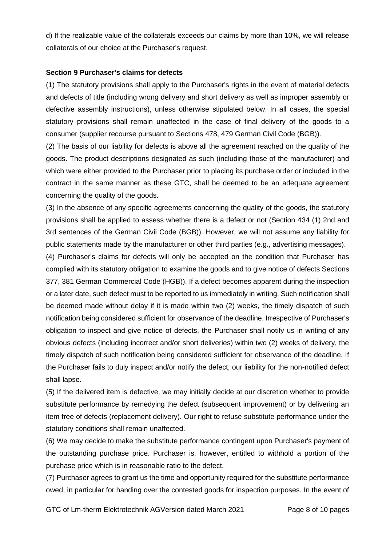d) If the realizable value of the collaterals exceeds our claims by more than 10%, we will release collaterals of our choice at the Purchaser's request.

#### **Section 9 Purchaser's claims for defects**

(1) The statutory provisions shall apply to the Purchaser's rights in the event of material defects and defects of title (including wrong delivery and short delivery as well as improper assembly or defective assembly instructions), unless otherwise stipulated below. In all cases, the special statutory provisions shall remain unaffected in the case of final delivery of the goods to a consumer (supplier recourse pursuant to Sections 478, 479 German Civil Code (BGB)).

(2) The basis of our liability for defects is above all the agreement reached on the quality of the goods. The product descriptions designated as such (including those of the manufacturer) and which were either provided to the Purchaser prior to placing its purchase order or included in the contract in the same manner as these GTC, shall be deemed to be an adequate agreement concerning the quality of the goods.

(3) In the absence of any specific agreements concerning the quality of the goods, the statutory provisions shall be applied to assess whether there is a defect or not (Section 434 (1) 2nd and 3rd sentences of the German Civil Code (BGB)). However, we will not assume any liability for public statements made by the manufacturer or other third parties (e.g., advertising messages).

(4) Purchaser's claims for defects will only be accepted on the condition that Purchaser has complied with its statutory obligation to examine the goods and to give notice of defects Sections 377, 381 German Commercial Code (HGB)). If a defect becomes apparent during the inspection or a later date, such defect must to be reported to us immediately in writing. Such notification shall be deemed made without delay if it is made within two (2) weeks, the timely dispatch of such notification being considered sufficient for observance of the deadline. Irrespective of Purchaser's obligation to inspect and give notice of defects, the Purchaser shall notify us in writing of any obvious defects (including incorrect and/or short deliveries) within two (2) weeks of delivery, the timely dispatch of such notification being considered sufficient for observance of the deadline. If the Purchaser fails to duly inspect and/or notify the defect, our liability for the non-notified defect shall lapse.

(5) If the delivered item is defective, we may initially decide at our discretion whether to provide substitute performance by remedying the defect (subsequent improvement) or by delivering an item free of defects (replacement delivery). Our right to refuse substitute performance under the statutory conditions shall remain unaffected.

(6) We may decide to make the substitute performance contingent upon Purchaser's payment of the outstanding purchase price. Purchaser is, however, entitled to withhold a portion of the purchase price which is in reasonable ratio to the defect.

(7) Purchaser agrees to grant us the time and opportunity required for the substitute performance owed, in particular for handing over the contested goods for inspection purposes. In the event of

GTC of Lm-therm Elektrotechnik AGVersion dated March 2021 Page 8 of 10 pages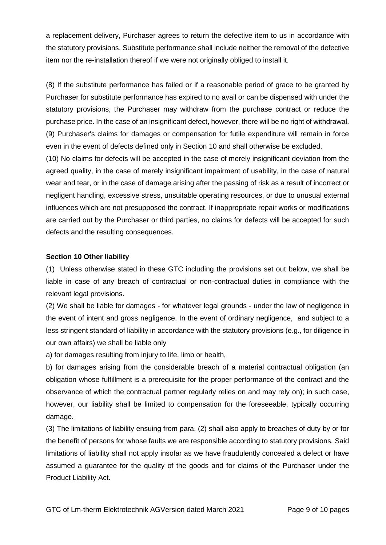a replacement delivery, Purchaser agrees to return the defective item to us in accordance with the statutory provisions. Substitute performance shall include neither the removal of the defective item nor the re-installation thereof if we were not originally obliged to install it.

(8) If the substitute performance has failed or if a reasonable period of grace to be granted by Purchaser for substitute performance has expired to no avail or can be dispensed with under the statutory provisions, the Purchaser may withdraw from the purchase contract or reduce the purchase price. In the case of an insignificant defect, however, there will be no right of withdrawal. (9) Purchaser's claims for damages or compensation for futile expenditure will remain in force even in the event of defects defined only in Section 10 and shall otherwise be excluded.

(10) No claims for defects will be accepted in the case of merely insignificant deviation from the agreed quality, in the case of merely insignificant impairment of usability, in the case of natural wear and tear, or in the case of damage arising after the passing of risk as a result of incorrect or negligent handling, excessive stress, unsuitable operating resources, or due to unusual external influences which are not presupposed the contract. If inappropriate repair works or modifications are carried out by the Purchaser or third parties, no claims for defects will be accepted for such defects and the resulting consequences.

## **Section 10 Other liability**

(1) Unless otherwise stated in these GTC including the provisions set out below, we shall be liable in case of any breach of contractual or non-contractual duties in compliance with the relevant legal provisions.

(2) We shall be liable for damages - for whatever legal grounds - under the law of negligence in the event of intent and gross negligence. In the event of ordinary negligence, and subject to a less stringent standard of liability in accordance with the statutory provisions (e.g., for diligence in our own affairs) we shall be liable only

a) for damages resulting from injury to life, limb or health,

b) for damages arising from the considerable breach of a material contractual obligation (an obligation whose fulfillment is a prerequisite for the proper performance of the contract and the observance of which the contractual partner regularly relies on and may rely on); in such case, however, our liability shall be limited to compensation for the foreseeable, typically occurring damage.

(3) The limitations of liability ensuing from para. (2) shall also apply to breaches of duty by or for the benefit of persons for whose faults we are responsible according to statutory provisions. Said limitations of liability shall not apply insofar as we have fraudulently concealed a defect or have assumed a guarantee for the quality of the goods and for claims of the Purchaser under the Product Liability Act.